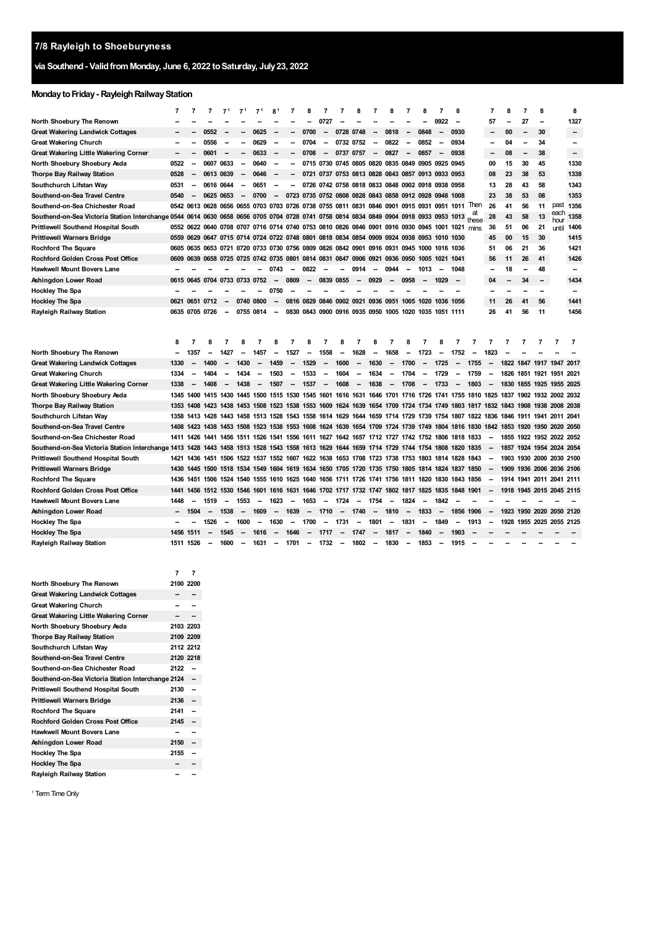# **via Southend- ValidfromMonday, June 6, 2022 toSaturday, July23, 2022**

## **Monday to Friday - Rayleigh Railway Station**

|                                                                                                                                              | $\overline{7}$ | $\overline{7}$           | $\overline{7}$ | 7 <sup>1</sup>                                                   | 71                       | 7 <sup>1</sup>           | 8                        | 7                        | 8                                            | 7                        | 7                            | 8                        | 7                        | 8                        | 7                        | 8                                                                                                                            | 7                        | 8                        |             | 7                        | 8                                  | 7                        | 8                        |             | 8                        |
|----------------------------------------------------------------------------------------------------------------------------------------------|----------------|--------------------------|----------------|------------------------------------------------------------------|--------------------------|--------------------------|--------------------------|--------------------------|----------------------------------------------|--------------------------|------------------------------|--------------------------|--------------------------|--------------------------|--------------------------|------------------------------------------------------------------------------------------------------------------------------|--------------------------|--------------------------|-------------|--------------------------|------------------------------------|--------------------------|--------------------------|-------------|--------------------------|
| North Shoebury The Renown                                                                                                                    |                |                          |                |                                                                  |                          |                          |                          |                          |                                              | 0727                     |                              |                          |                          |                          |                          |                                                                                                                              | 0922                     | $\overline{\phantom{a}}$ |             | 57                       |                                    | 27                       | -                        |             | 1327                     |
| Great Wakering Landwick Cottages                                                                                                             | --             |                          | 0552           | --                                                               | --                       | 0625                     | --                       | --                       | 0700                                         | $\overline{\phantom{a}}$ | 0728                         | 0748                     | -                        | 0818                     | $\overline{\phantom{a}}$ | 0848                                                                                                                         | $\overline{\phantom{a}}$ | 0930                     |             | --                       | 00                                 | $\overline{\phantom{a}}$ | 30                       |             | -                        |
| Great Wakering Church                                                                                                                        | --             | --                       | 0556           | $\overline{\phantom{a}}$                                         | --                       | 0629                     | $\overline{\phantom{a}}$ | $\overline{a}$           | 0704                                         | $\overline{\phantom{a}}$ | 0732 0752                    |                          | ÷                        | 0822                     | $\overline{a}$           | 0852                                                                                                                         | $\overline{\phantom{a}}$ | 0934                     |             | --                       | 04                                 | $\overline{a}$           | 34                       |             | --                       |
| Great Wakering Little Wakering Corner                                                                                                        | --             | $\overline{\phantom{a}}$ | 0601           | --                                                               | --                       | 0633                     | --                       | --                       | 0708                                         | $\overline{\phantom{a}}$ | 0737                         | 0757                     | --                       | 0827                     | $\overline{\phantom{a}}$ | 0857                                                                                                                         | --                       | 0938                     |             | -                        | 08                                 | -                        | 38                       |             | -                        |
| North Shoebury Shoebury Asda                                                                                                                 | 0522           | $\overline{\phantom{a}}$ | 0607           | 0633                                                             | μ.                       | 0640                     | $\overline{a}$           |                          |                                              |                          |                              |                          |                          |                          |                          | 0715 0730 0745 0805 0820 0835 0849 0905 0925 0945                                                                            |                          |                          |             | 00                       | 15                                 | 30                       | 45                       |             | 1330                     |
| Thorpe Bay Railway Station                                                                                                                   | 0528           | --                       | 0613           | 0639                                                             | --                       | 0646                     | --                       | --                       |                                              |                          |                              |                          |                          |                          |                          | 0721 0737 0753 0813 0828 0843 0857 0913 0933 0953                                                                            |                          |                          |             | 08                       | 23                                 | 38                       | 53                       |             | 1338                     |
| Southchurch Lifstan Way                                                                                                                      | 0531           | $\overline{\phantom{a}}$ | 0616 0644      |                                                                  | $\overline{\phantom{a}}$ | 0651                     | $\overline{\phantom{a}}$ | --                       |                                              |                          |                              |                          |                          |                          |                          | 0726 0742 0758 0818 0833 0848 0902 0918 0938 0958                                                                            |                          |                          |             | 13                       | 28                                 | 43                       | 58                       |             | 1343                     |
| Southend-on-Sea Travel Centre                                                                                                                | 0540           | $\overline{\phantom{a}}$ | 0625           | 0653                                                             | --                       | 0700                     | $\overline{\phantom{a}}$ | 0723                     |                                              |                          |                              |                          |                          |                          |                          | 0735 0752 0808 0828 0843 0858 0912 0928 0948 1008                                                                            |                          |                          |             | 23                       | 38                                 | 53                       | 08                       |             | 1353                     |
| Southend-on-Sea Chichester Road                                                                                                              |                |                          |                |                                                                  |                          |                          |                          |                          |                                              |                          |                              |                          |                          |                          |                          | 0542 0613 0628 0656 0655 0703 0703 0726 0738 0755 0811 0831 0846 0901 0915 0931 0951 1011                                    |                          |                          | <b>Ther</b> | 26                       | 41                                 | 56                       | 11                       | past        | 1356                     |
| Southend-on-Sea Victoria Station Interchange 0544 0614 0630 0658 0656 0705 0704 0728 0741 0758 0814 0834 0849 0904 0918 0933 0953 1013 these |                |                          |                |                                                                  |                          |                          |                          |                          |                                              |                          |                              |                          |                          |                          |                          |                                                                                                                              |                          |                          |             | 28                       | 43                                 | 58                       | 13                       | each<br>hou | 1358                     |
| Prittlewell Southend Hospital South                                                                                                          |                |                          |                |                                                                  |                          |                          |                          |                          |                                              |                          |                              |                          |                          |                          |                          | 0552 0622 0640 0708 0707 0716 0714 0740 0753 0810 0826 0846 0901 0916 0930 0945 1001 1021 mins                               |                          |                          |             | 36                       | 51                                 | 06                       | 21                       | until       | 1406                     |
| Prittlewell Warners Bridge                                                                                                                   | 0559           | 0629 0647                |                |                                                                  |                          |                          |                          |                          |                                              |                          |                              |                          |                          |                          |                          | 0715 0714 0724 0722 0748 0801 0818 0834 0854 0909 0924 0938 0953 1010 1030                                                   |                          |                          |             | 45                       | 00                                 | 15                       | 30                       |             | 1415                     |
| <b>Rochford The Square</b>                                                                                                                   |                |                          |                |                                                                  |                          |                          |                          |                          |                                              |                          |                              |                          |                          |                          |                          | 0605 0635 0653 0721 0720 0733 0730 0756 0809 0826 0842 0901 0916 0931 0945 1000 1016 1036                                    |                          |                          |             | 51                       | 06                                 | 21                       | 36                       |             | 1421                     |
| Rochford Golden Cross Post Office                                                                                                            | 0609           |                          |                | 0639 0658 0725 0725 0742 0735 0801 0814 0831 0847 0906 0921 0936 |                          |                          |                          |                          |                                              |                          |                              |                          |                          |                          | 0950                     | 1005                                                                                                                         | 1021 1041                |                          |             | 56                       | 11                                 | 26                       | 41                       |             | 1426                     |
| Hawkwell Mount Bovers Lane                                                                                                                   | --             |                          |                |                                                                  |                          |                          | 0743                     | --                       | 0822                                         | $\overline{\phantom{a}}$ | -                            | 0914                     | $\overline{\phantom{a}}$ | 0944                     | $\overline{\phantom{a}}$ | 1013                                                                                                                         | $\overline{\phantom{a}}$ | 1048                     |             | -                        | 18                                 |                          | 48                       |             | $\overline{\phantom{a}}$ |
| Ashingdon Lower Road                                                                                                                         | 0615           |                          |                | 0645 0704 0733 0733 0752                                         |                          |                          | --                       | 0809                     | -                                            | 0839 0855                |                              | -                        | 0929                     |                          | 0958                     |                                                                                                                              | 1029                     | $\overline{\phantom{a}}$ |             | 04                       |                                    | 34                       | -                        |             | 1434                     |
| Hockley The Spa                                                                                                                              |                |                          |                |                                                                  |                          |                          | 0750                     |                          |                                              |                          |                              |                          |                          |                          |                          |                                                                                                                              |                          |                          |             | $\overline{a}$           |                                    |                          | ۰.                       |             | $\overline{\phantom{a}}$ |
| Hockley The Spa                                                                                                                              | 0621           | 0651                     | 0712           |                                                                  | 0740                     | 0800                     |                          |                          | 0816 0829 0846 0902 0921 0936 0951           |                          |                              |                          |                          |                          | 1005                     | 1020                                                                                                                         | 1036                     | 1056                     |             | 11                       | 26                                 | 41                       | 56                       |             | 1441                     |
| Rayleigh Railway Station                                                                                                                     |                | 0635 0705 0726           |                | --                                                               | 0755 0814                |                          | $\overline{\phantom{a}}$ |                          | 0830 0843 0900 0916 0935 0950 1005           |                          |                              |                          |                          |                          |                          | 1020 1035 1051 1111                                                                                                          |                          |                          |             | 26                       | 41                                 | 56                       | 11                       |             | 1456                     |
|                                                                                                                                              |                |                          |                |                                                                  |                          |                          |                          |                          |                                              |                          |                              |                          |                          |                          |                          |                                                                                                                              |                          |                          |             |                          |                                    |                          |                          |             |                          |
|                                                                                                                                              |                |                          |                |                                                                  |                          |                          |                          |                          |                                              |                          |                              |                          |                          |                          |                          |                                                                                                                              |                          |                          |             |                          |                                    |                          |                          |             |                          |
|                                                                                                                                              |                |                          |                |                                                                  |                          |                          |                          |                          |                                              |                          |                              |                          |                          |                          |                          |                                                                                                                              |                          |                          |             |                          |                                    |                          |                          |             |                          |
|                                                                                                                                              | 8              | 7                        | 8              |                                                                  | 8                        |                          | 8                        |                          | 8                                            | 7                        | 8                            | 7                        | ន                        | 7                        | 8                        | 7                                                                                                                            | ន                        | 7                        | 7           | 7                        | 7                                  | 7                        | 7                        | 7           | 7                        |
| North Shoebury The Renown                                                                                                                    |                | 1357                     | -              | 1427                                                             |                          | 1457                     | --                       | 1527                     | -                                            | 1558                     | $\sim$                       | 1628                     | $\overline{\phantom{a}}$ | 1658                     | -                        | 1723                                                                                                                         | $\overline{\phantom{a}}$ | 1752                     |             | 1823                     |                                    |                          |                          |             |                          |
| <b>Great Wakering Landwick Cottages</b>                                                                                                      | 1330           |                          | 1400           |                                                                  | 1430                     | $\overline{\phantom{a}}$ | 1459                     | $\overline{\phantom{a}}$ | 1529                                         | $\overline{\phantom{a}}$ | 1600                         | -                        | 1630                     | $\overline{\phantom{a}}$ | 1700                     | $\overline{\phantom{a}}$                                                                                                     | 1725                     | $\overline{\phantom{a}}$ | 1755        | $\overline{\phantom{a}}$ |                                    |                          | 1822 1847 1917 1947 2017 |             |                          |
| Great Wakering Church                                                                                                                        | 1334           |                          | 1404           |                                                                  | 1434                     |                          | 1503                     |                          | 1533                                         |                          | 1604                         |                          | 1634                     |                          | 1704                     |                                                                                                                              | 1729                     |                          | 1759        | $\overline{\phantom{a}}$ |                                    |                          | 1826 1851 1921 1951 2021 |             |                          |
| Great Wakering Little Wakering Corner                                                                                                        | 1338           |                          | 1408           | $\overline{\phantom{a}}$                                         | 1438                     | $\overline{\phantom{a}}$ | 1507                     | --                       | 1537                                         | $\overline{\phantom{a}}$ | 1608                         | -                        | 1638                     | $\overline{\phantom{a}}$ | 1708                     | -                                                                                                                            | 1733                     |                          | 1803        | $\overline{\phantom{a}}$ |                                    |                          | 1830 1855 1925 1955 2025 |             |                          |
| North Shoebury Shoebury Asda                                                                                                                 |                | 1345 1400                | 1415           | 1430 1445                                                        |                          |                          | 1500 1515                |                          | 1530 1545 1601 1616                          |                          |                              |                          |                          |                          |                          | 1631 1646 1701 1716 1726 1741 1755 1810 1825 1837 1902 1932 2002 2032                                                        |                          |                          |             |                          |                                    |                          |                          |             |                          |
| Thorpe Bay Railway Station                                                                                                                   |                |                          |                |                                                                  |                          |                          |                          |                          |                                              |                          |                              |                          |                          |                          |                          | 1353 1408 1423 1438 1453 1508 1523 1538 1553 1609 1624 1639 1654 1709 1724 1734 1749 1803 1817 1832 1843 1908 1938 2008 2038 |                          |                          |             |                          |                                    |                          |                          |             |                          |
| Southchurch Lifstan Way                                                                                                                      |                |                          |                |                                                                  |                          |                          |                          |                          |                                              |                          |                              |                          |                          |                          |                          | 1358 1413 1428 1443 1458 1513 1528 1543 1558 1614 1629 1644 1659 1714 1729 1739 1754 1807 1822 1836 1846 1911 1941 2011 2041 |                          |                          |             |                          |                                    |                          |                          |             |                          |
| Southend-on-Sea Travel Centre                                                                                                                | 1408           | 1423 1438                |                |                                                                  |                          |                          |                          |                          |                                              |                          |                              |                          |                          |                          |                          | 1453 1508 1523 1538 1553 1608 1624 1639 1654 1709 1724 1739 1749 1804 1816                                                   |                          |                          |             |                          | 1830 1842 1853 1920 1950 2020 2050 |                          |                          |             |                          |
| Southend on Sea Chichester Road                                                                                                              |                |                          |                | 1411 1426 1441 1456 1511 1526                                    |                          |                          |                          |                          |                                              |                          |                              |                          |                          |                          |                          | 1541 1556 1611 1627 1642 1657 1712 1727 1742 1752 1806 1818 1833                                                             |                          |                          |             |                          |                                    |                          | 1855 1922 1952 2022 2052 |             |                          |
| Southend-on-Sea Victoria Station Interchange 1413 1428 1443 1458 1513 1528 1543 1558 1613 1629 1644 1659 1714 1729 1744 1754 1808 1820       |                |                          |                |                                                                  |                          |                          |                          |                          |                                              |                          |                              |                          |                          |                          |                          |                                                                                                                              |                          |                          | 1835        |                          |                                    |                          | 1857 1924 1954 2024 2054 |             |                          |
| Prittlewell Southend Hospital South                                                                                                          | 1421           | 1436                     |                |                                                                  |                          |                          |                          |                          |                                              |                          |                              |                          |                          |                          |                          | 1451 1506 1522 1537 1552 1607 1622 1638 1653 1708 1723 1738 1753 1803 1814                                                   |                          | 1828                     | 1843        |                          |                                    |                          | 1903 1930 2000 2030 2100 |             |                          |
| Prittlewell Warners Bridge                                                                                                                   | 1430           | 1445                     | 1500           | 1518 1534 1549                                                   |                          |                          |                          |                          | 1604 1619 1634 1650 1705 1720 1735 1750 1805 |                          |                              |                          |                          |                          |                          | 1814 1824                                                                                                                    |                          | 1837                     | 1850        |                          |                                    |                          | 1909 1936 2006 2036 2106 |             |                          |
| Rochford The Square                                                                                                                          |                | 1436 1451 1506           |                |                                                                  |                          |                          |                          |                          |                                              |                          |                              |                          |                          |                          |                          | 1524 1540 1555 1610 1625 1640 1656 1711 1726 1741 1756 1811 1820 1830                                                        |                          | 1843 1856                |             |                          |                                    |                          | 1914 1941 2011 2041 2111 |             |                          |
| Rochford Golden Cross Post Office                                                                                                            | 1441           |                          |                | 1456 1512 1530 1546 1601                                         |                          |                          |                          |                          | 1616 1631 1646 1702 1717 1732 1747 1802 1817 |                          |                              |                          |                          |                          |                          | 1825                                                                                                                         | 1835 1848 1901           |                          |             |                          |                                    |                          | 1918 1945 2015 2045 2115 |             |                          |
| Hawkwell Mount Bovers Lane                                                                                                                   | 1448           | --                       | 1519           | $\overline{\phantom{a}}$                                         | 1553                     | --                       | 1623                     | --                       | 1653                                         | $\overline{\phantom{a}}$ | 1724                         | --                       | 1754                     | $\overline{\phantom{a}}$ | 1824                     |                                                                                                                              | 1842                     |                          |             |                          |                                    |                          |                          |             |                          |
| Ashingdon Lower Road                                                                                                                         |                | 1504                     | Ξ.             | 1538                                                             | $\overline{\phantom{a}}$ | 1609                     | --                       | 1639                     | $\qquad \qquad \blacksquare$                 | 1710                     | $\qquad \qquad \blacksquare$ | 1740                     | $\overline{\phantom{a}}$ | 1810                     | $\overline{\phantom{a}}$ | 1833                                                                                                                         | $\overline{\phantom{a}}$ | 1856                     | 1906        | $\overline{\phantom{a}}$ |                                    |                          | 1923 1950 2020 2050 2120 |             |                          |
| Hockley The Spa                                                                                                                              |                |                          | 1526           | --                                                               | 1600                     | -                        | 1630                     | $\sim$                   | 1700                                         | $\overline{\phantom{a}}$ | 1731                         | $\overline{\phantom{a}}$ | 1801                     | $\overline{\phantom{a}}$ | 1831                     | $\overline{\phantom{a}}$                                                                                                     | 1849                     | $\overline{\phantom{a}}$ | 1913        |                          |                                    |                          | 1928 1955 2025 2055 2125 |             |                          |
| Hockley The Spa                                                                                                                              |                | 1456 1511                | --             | 1545                                                             | --                       | 1616                     | --                       | 1646                     | $\overline{\phantom{a}}$                     | 1717                     | $\overline{\phantom{a}}$     | 1747                     | $\overline{\phantom{a}}$ | 1817                     | $\overline{\phantom{a}}$ | 1840                                                                                                                         | $\overline{\phantom{a}}$ | 1903                     |             |                          |                                    |                          |                          |             |                          |
| Rayleigh Railway Station                                                                                                                     |                | 1511 1526                |                | 1600                                                             |                          | 1631                     |                          | 1701                     |                                              | 1732                     |                              | 1802                     |                          | 1830                     |                          | 1853                                                                                                                         |                          | 1915                     |             |                          |                                    |                          |                          |             |                          |

|                                                   | 7    | 7              |
|---------------------------------------------------|------|----------------|
| North Shoebury The Renown                         |      | 2100 2200      |
| <b>Great Wakering Landwick Cottages</b>           | --   |                |
| <b>Great Wakering Church</b>                      |      |                |
| Great Wakering Little Wakering Corner             |      |                |
| North Shoebury Shoebury Asda                      |      | 2103 2203      |
| Thorpe Bay Railway Station                        |      | 2109 2209      |
| Southchurch Lifstan Way                           |      | 2112 2212      |
| Southend-on-Sea Travel Centre                     |      | 2120 2218      |
| Southend-on-Sea Chichester Road                   | 2122 |                |
| Southend-on-Sea Victoria Station Interchange 2124 |      |                |
| Prittlewell Southend Hospital South               | 2130 |                |
| <b>Prittlewell Warners Bridge</b>                 | 2136 | --             |
| <b>Rochford The Square</b>                        | 2141 | $\overline{a}$ |
| <b>Rochford Golden Cross Post Office</b>          | 2145 |                |
| <b>Hawkwell Mount Bovers Lane</b>                 |      |                |
| Ashingdon Lower Road                              | 2150 |                |
| <b>Hockley The Spa</b>                            | 2155 |                |
| <b>Hockley The Spa</b>                            |      |                |
| Rayleigh Railway Station                          |      |                |

<span id="page-0-0"></span><sup>1</sup> Term Time Only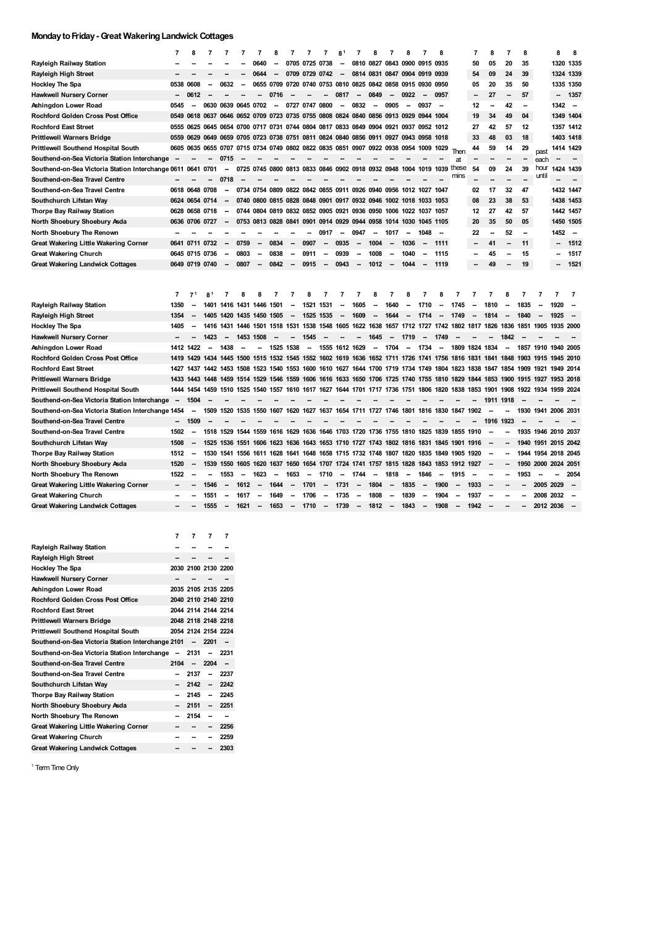### **MondaytoFriday-Great WakeringLandwick Cottages**

|                                                   | $\overline{7}$         | 8                                | 7                      | 7                        | 7                        | 7                        | 8                        | 7                        | 7                                                                                                                                                             |                          | 8                            | 7                        | 8                        | 7                        | 8                        | 7                             | 8                                |                          | $\overline{7}$           | 8                        | $\overline{7}$                | 8                        |                               | 8                                                 | 8                        |
|---------------------------------------------------|------------------------|----------------------------------|------------------------|--------------------------|--------------------------|--------------------------|--------------------------|--------------------------|---------------------------------------------------------------------------------------------------------------------------------------------------------------|--------------------------|------------------------------|--------------------------|--------------------------|--------------------------|--------------------------|-------------------------------|----------------------------------|--------------------------|--------------------------|--------------------------|-------------------------------|--------------------------|-------------------------------|---------------------------------------------------|--------------------------|
| Rayleigh Railway Station                          |                        |                                  |                        |                          |                          | 0640                     | --                       |                          | 0705 0725 0738                                                                                                                                                |                          | -                            |                          |                          |                          |                          | 0810 0827 0843 0900 0915 0935 |                                  |                          | 50                       | 05                       | 20                            | 35                       |                               | 1320 1335                                         |                          |
| Rayleigh High Street                              |                        |                                  |                        |                          |                          | 0644                     |                          |                          | 0709 0729 0742                                                                                                                                                |                          | $\qquad \qquad \blacksquare$ |                          | 0814 0831 0847           |                          | 0904                     | 0919                          | 0939                             |                          | 54                       | 09                       | 24                            | 39                       |                               | 1324 1339                                         |                          |
| <b>Hockley The Spa</b>                            |                        | 0538 0608                        | --                     | 0632                     | $\overline{\phantom{a}}$ | 0655 0709                |                          |                          | 0720 0740                                                                                                                                                     |                          |                              | 0753 0810 0825 0842      |                          | 0858                     | 0915                     | 0930 0950                     |                                  |                          | 05                       | 20                       | 35                            | 50                       |                               | 1335 1350                                         |                          |
| <b>Hawkwell Nursery Corner</b>                    |                        | 0612                             |                        |                          |                          |                          | 0716                     |                          |                                                                                                                                                               |                          | 0817                         | -                        | 0849                     |                          | 0922                     |                               | 0957                             |                          | -                        | 27                       |                               | 57                       |                               | -                                                 | 1357                     |
| Ashingdon Lower Road                              | 0545                   | --                               | 0630                   | 0639 0645 0702           |                          |                          | --                       |                          | 0727 0747                                                                                                                                                     | 0800                     | $\overline{\phantom{a}}$     | 0832                     | $\overline{a}$           | 0905                     | $\overline{\phantom{a}}$ | 0937                          | $\overline{\phantom{a}}$         |                          | 12                       | $\overline{a}$           | 42                            | -                        |                               | 1342                                              | $\overline{\phantom{a}}$ |
| Rochford Golden Cross Post Office                 |                        | 0549 0618 0637                   |                        |                          |                          |                          |                          |                          | 0646 0652 0709 0723 0735 0755 0808 0824 0840 0856 0913                                                                                                        |                          |                              |                          |                          |                          | 0929                     | 0944 1004                     |                                  |                          | 19                       | 34                       | 49                            | 04                       |                               | 1349 1404                                         |                          |
| <b>Rochford East Street</b>                       |                        | 0555 0625                        |                        |                          |                          |                          |                          |                          | 0645 0654 0700 0717 0731 0744 0804 0817 0833 0849 0904 0921 0937 0952 1012                                                                                    |                          |                              |                          |                          |                          |                          |                               |                                  |                          | 27                       | 42                       | 57                            | 12                       |                               | 1357 1412                                         |                          |
| Prittlewell Warners Bridge                        | 0559                   | 0629                             | 0649                   |                          |                          |                          |                          |                          | 0659 0705 0723 0738 0751 0811 0824 0840                                                                                                                       |                          |                              | 0856                     | 0911 0927                |                          | 0943                     | 0958                          | 1018                             |                          | 33                       | 48                       | 03                            | 18                       |                               | 1403 1418                                         |                          |
| Prittlewell Southend Hospital South               | 0605                   |                                  |                        |                          |                          |                          |                          |                          | 0635 0655 0707 0715 0734 0749 0802 0822 0835 0851 0907                                                                                                        |                          |                              |                          | 0922 0938 0954 1009      |                          |                          |                               | 1029                             | Then                     | 44                       | 59                       | 14                            | 29                       | past                          | 1414 1429                                         |                          |
| Southend-on-Sea Victoria Station Interchange      |                        |                                  |                        | 0715                     |                          |                          |                          |                          |                                                                                                                                                               |                          |                              |                          |                          |                          |                          |                               |                                  | at                       |                          |                          |                               |                          | each                          |                                                   |                          |
| Southend-on-Sea Victoria Station Interchange 0611 |                        | 0641                             | 0701                   | $\overline{\phantom{a}}$ | 0725                     |                          |                          |                          | 0745 0800 0813 0833 0846 0902                                                                                                                                 |                          |                              | 0918                     | 0932                     | 0948                     | 1004                     | 1019                          | 1039                             | these                    | 54                       | 09                       | 24                            | 39                       | hour                          | 1424 1439                                         |                          |
| Southend-on-Sea Travel Centre                     |                        |                                  |                        | 0718                     |                          |                          |                          |                          |                                                                                                                                                               |                          |                              |                          |                          |                          |                          |                               |                                  | mins                     |                          |                          |                               |                          | until                         |                                                   |                          |
| Southend-on-Sea Travel Centre                     |                        | 0618 0648                        | 0708                   | $\overline{\phantom{a}}$ |                          |                          |                          |                          | 0734 0754 0809 0822 0842 0855 0911 0926 0940 0956                                                                                                             |                          |                              |                          |                          |                          | 1012                     | 1027                          | 1047                             |                          | 02                       | 17                       | 32                            | 47                       |                               | 1432 1447                                         |                          |
| Southchurch Lifstan Way                           |                        | 0624 0654 0714                   |                        |                          |                          |                          |                          |                          | 0740 0800 0815 0828 0848 0901 0917 0932 0946                                                                                                                  |                          |                              |                          |                          | 1002 1018                |                          | 1033                          | 1053                             |                          | 08                       | 23                       | 38                            | 53                       |                               | 1438 1453                                         |                          |
| Thorpe Bay Railway Station                        |                        | 0628 0658 0718                   |                        |                          |                          |                          |                          |                          | 0744 0804 0819 0832 0852 0905 0921                                                                                                                            |                          |                              |                          | 0936 0950 1006           |                          |                          | 1022 1037 1057                |                                  |                          | 12                       | 27                       | 42                            | 57                       |                               | 1442 1457                                         |                          |
| North Shoebury Shoebury Asda                      |                        | 0636 0706 0727                   |                        |                          |                          |                          |                          |                          | 0753 0813 0828 0841 0901 0914 0929 0944 0958 1014                                                                                                             |                          |                              |                          |                          |                          | 1030                     | 1045 1105                     |                                  |                          | 20                       | 35                       | 50                            | 05                       |                               | 1450 1505                                         |                          |
| North Shoebury The Renown                         |                        |                                  |                        |                          |                          |                          |                          |                          |                                                                                                                                                               | 0917                     | Ξ.                           | 0947                     | -                        | 1017                     | --                       | 1048                          |                                  |                          | 22                       | $\overline{a}$           | 52                            | $\overline{a}$           |                               | 1452                                              | $\overline{\phantom{a}}$ |
| Great Wakering Little Wakering Corner             | 0641                   | 0711 0732                        |                        | $\overline{\phantom{a}}$ | 0759                     | $\overline{\phantom{a}}$ | 0834                     | $\overline{\phantom{a}}$ | 0907                                                                                                                                                          | $\overline{a}$           | 0935                         | $\overline{a}$           | 1004                     | -                        | 1036                     |                               | 1111                             |                          | -                        | 41                       | -                             | 11                       |                               | -                                                 | 1512                     |
| <b>Great Wakering Church</b>                      | 0645                   | 0715                             | 0736                   | --                       | 0803                     | --                       | 0838                     | --                       | 0911                                                                                                                                                          | Ξ.                       | 0939                         | Ξ.                       | 1008                     | -                        | 1040                     | -                             | 1115                             |                          |                          | 45                       | -                             | 15                       |                               | -                                                 | 1517                     |
| <b>Great Wakering Landwick Cottages</b>           |                        | 0649 0719 0740                   |                        | $\overline{\phantom{a}}$ | 0807                     | $\sim$                   | 0842                     | $\overline{\phantom{a}}$ | 0915                                                                                                                                                          | $\sim$                   | 0943                         | $\overline{\phantom{a}}$ | 1012                     | $\overline{\phantom{a}}$ | 1044                     | $\overline{\phantom{a}}$      | 1119                             |                          |                          | 49                       |                               | 19                       |                               |                                                   | 1521                     |
| Rayleigh Railway Station                          | $\overline{7}$<br>1350 | 7 <sup>1</sup><br>$\overline{a}$ | 8 <sup>1</sup><br>1401 | 7<br>1416 1431 1446 1501 | ۶                        | ន                        | 7                        | --                       | я<br>1521                                                                                                                                                     | 1531                     | 7<br>-                       | 1605                     | 8<br>-                   | 1640                     | 8<br>-                   | 1710                          | 8<br>$\overline{\phantom{a}}$    | 1745                     | 7<br>--                  | 1810                     | 8<br>$\overline{\phantom{a}}$ | 7<br>1835                | 7<br>$\overline{\phantom{a}}$ | 7<br>1920                                         | $\overline{7}$<br>-      |
| Rayleigh High Street                              | 1354                   |                                  | 1405                   |                          | 1420 1435 1450 1505      |                          |                          | $\overline{\phantom{a}}$ | 1525 1535                                                                                                                                                     |                          | $\overline{\phantom{a}}$     | 1609                     | $\overline{\phantom{a}}$ | 1644                     | $\overline{\phantom{a}}$ | 1714                          | $\overline{\phantom{a}}$         | 1749                     | $\overline{\phantom{a}}$ | 1814                     | $\overline{\phantom{a}}$      | 1840                     | $\overline{\phantom{a}}$      | 1925                                              |                          |
| Hockley The Spa                                   | 1405                   |                                  | 1416                   |                          |                          |                          |                          |                          | 1431 1446 1501 1518 1531 1538 1548 1605 1622 1638                                                                                                             |                          |                              |                          |                          | 1657 1712                |                          |                               |                                  |                          |                          |                          |                               |                          |                               | 1727 1742 1802 1817 1826 1836 1851 1905 1935 2000 |                          |
| <b>Hawkwell Nursery Corner</b>                    |                        |                                  | 1423                   | $\overline{\phantom{a}}$ | 1453 1508                |                          |                          |                          | 1545                                                                                                                                                          |                          |                              |                          | 1645                     | $\overline{\phantom{a}}$ | 1719                     |                               | 1749                             |                          |                          |                          | 1842                          |                          |                               |                                                   |                          |
|                                                   |                        |                                  |                        | 1438                     |                          |                          |                          |                          |                                                                                                                                                               |                          |                              |                          |                          |                          |                          |                               |                                  |                          |                          |                          |                               |                          |                               |                                                   |                          |
| Ashingdon Lower Road                              | 1419                   | 1412 1422<br>1429                | $\overline{a}$<br>1434 | 1445 1500                |                          |                          | 1525 1538                |                          | $\overline{\phantom{a}}$<br>1515 1532 1545 1552 1602 1619 1636 1652 1711 1726                                                                                 | 1555 1612 1629           |                              |                          | $\overline{\phantom{a}}$ | 1704                     | $\sim$                   | 1734<br>1741                  | $\overline{\phantom{a}}$<br>1756 | 1809 1824 1834<br>1816   |                          | 1841 1848 1903           | $\overline{\phantom{a}}$      |                          |                               | 1857 1910 1940 2005                               |                          |
| Rochford Golden Cross Post Office                 |                        |                                  |                        |                          |                          |                          |                          |                          |                                                                                                                                                               |                          |                              |                          |                          |                          |                          |                               |                                  |                          | 1831                     |                          |                               |                          | 1915 1945                     |                                                   | 2010                     |
| <b>Rochford East Street</b>                       | 1427                   | 1437                             |                        | 1442 1453 1508           |                          |                          |                          |                          | 1523 1540 1553 1600 1610 1627 1644 1700 1719 1734 1749 1804 1823 1838                                                                                         |                          |                              |                          |                          |                          |                          |                               |                                  |                          |                          | 1847 1854 1909           |                               |                          |                               | 1921 1949 2014                                    |                          |
| Prittlewell Warners Bridge                        |                        | 1433 1443                        | 1448                   |                          |                          |                          |                          |                          | 1459 1514 1529 1546 1559 1606 1616 1633 1650 1706 1725 1740 1755 1810 1829 1844                                                                               |                          |                              |                          |                          |                          |                          |                               |                                  |                          |                          |                          |                               |                          |                               | 1853 1900 1915 1927 1953 2018                     |                          |
| Prittlewell Southend Hospital South               |                        | 1444 1454                        | 1459                   | 1510 1525                |                          |                          |                          |                          | 1540 1557 1610 1617 1627                                                                                                                                      |                          |                              |                          | 1644 1701 1717 1736      |                          | 1751                     | 1806                          | 1820                             | 1838                     | 1853                     | 1901                     | 1908                          |                          |                               | 1922 1934 1959 2024                               |                          |
| Southend-on-Sea Victoria Station Interchange      |                        | 1504                             |                        |                          |                          |                          |                          |                          |                                                                                                                                                               |                          |                              | 1711                     |                          |                          | 1801                     |                               |                                  |                          | 1902                     | 1911 1918                |                               |                          |                               | 1930 1941 2006 2031                               |                          |
| Southend-on-Sea Victoria Station Interchange 1454 |                        |                                  | 1509                   | 1520 1535                |                          | 1550                     | 1607                     |                          | 1620 1627                                                                                                                                                     | 1637                     | 1654                         |                          | 1727                     | 1746                     |                          | 1816                          | 1830                             | 1847                     |                          |                          | 1923                          |                          |                               |                                                   |                          |
| Southend-on-Sea Travel Centre                     | 1502                   | 1509                             |                        |                          |                          |                          |                          |                          |                                                                                                                                                               |                          |                              |                          |                          |                          |                          |                               |                                  |                          |                          | 1916                     |                               |                          |                               |                                                   |                          |
| Southend-on-Sea Travel Centre                     | 1508                   | $\sim$<br>--                     |                        |                          |                          |                          |                          |                          | 1518 1529 1544 1559 1616 1629 1636 1646 1703 1720 1736 1755 1810 1825 1839 1855<br>1525 1536 1551 1606 1623 1636 1643 1653 1710 1727 1743 1802 1816 1831 1845 |                          |                              |                          |                          |                          |                          |                               |                                  | 1901                     | 1910                     |                          |                               |                          |                               | 1935 1946 2010 2037                               |                          |
| Southchurch Lifstan Way                           |                        |                                  |                        |                          |                          |                          |                          |                          |                                                                                                                                                               |                          |                              |                          |                          |                          |                          |                               |                                  |                          | 1916                     |                          |                               |                          |                               | 1940 1951 2015 2042                               |                          |
| Thorpe Bay Railway Station                        | 1512                   | --                               |                        |                          |                          |                          |                          |                          | 1530 1541 1556 1611 1628 1641 1648 1658 1715 1732 1748 1807 1820 1835 1849                                                                                    |                          |                              |                          |                          |                          |                          |                               |                                  | 1905                     | 1920                     |                          | $\overline{\phantom{a}}$      |                          |                               | 1944 1954 2018 2045                               |                          |
| North Shoebury Shoebury Asda                      | 1520                   | $\overline{\phantom{a}}$         | 1539                   | 1550 1605 1620 1637      |                          |                          |                          |                          | 1650 1654 1707 1724 1741 1757 1815                                                                                                                            |                          |                              |                          |                          |                          | 1828                     | 1843 1853                     |                                  | 1912 1927                |                          |                          | $\overline{\phantom{a}}$      |                          |                               | 1950 2000 2024 2051                               |                          |
| North Shoebury The Renown                         | 1522                   | --                               | --                     | 1553                     | $\overline{\phantom{a}}$ | 1623                     | $\overline{\phantom{a}}$ | 1653                     | $\overline{\phantom{a}}$                                                                                                                                      | 1710                     | $\overline{\phantom{a}}$     | 1744                     | $\overline{\phantom{a}}$ | 1818                     | $\overline{\phantom{a}}$ | 1846                          | $\overline{\phantom{a}}$         | 1915                     | $\overline{\phantom{a}}$ | $\overline{\phantom{a}}$ | --                            | 1953                     | $\overline{\phantom{a}}$      | -                                                 | 2054                     |
| Great Wakering Little Wakering Corner             |                        |                                  | 1546                   | $\overline{\phantom{a}}$ | 1612                     | $\overline{\phantom{a}}$ | 1644                     | $\overline{\phantom{a}}$ | 1701                                                                                                                                                          | -                        | 1731                         | $\overline{\phantom{a}}$ | 1804                     | $\overline{\phantom{a}}$ | 1835                     | $\overline{\phantom{a}}$      | 1900                             | $\sim$                   | 1933                     |                          |                               |                          | 2005 2029                     |                                                   | $\overline{\phantom{a}}$ |
| <b>Great Wakering Church</b>                      |                        |                                  | 1551                   |                          | 1617                     |                          | 1649                     | --                       | 1706                                                                                                                                                          | $\overline{a}$           | 1735                         | $\overline{\phantom{a}}$ | 1808                     | -                        | 1839                     |                               | 1904                             |                          | 1937                     |                          |                               |                          | 2008 2032                     |                                                   | $\overline{\phantom{a}}$ |
| <b>Great Wakering Landwick Cottages</b>           |                        |                                  | 1555                   | $\overline{\phantom{a}}$ | 1621                     | --                       | 1653                     | $\overline{\phantom{a}}$ | 1710                                                                                                                                                          | $\overline{\phantom{a}}$ | 1739                         | -                        | 1812                     | $\overline{\phantom{a}}$ | 1843                     | -                             | 1908                             | $\overline{\phantom{a}}$ | 1942                     |                          |                               | $\overline{\phantom{a}}$ | 2012 2036                     |                                                   |                          |
|                                                   |                        |                                  |                        |                          |                          |                          |                          |                          |                                                                                                                                                               |                          |                              |                          |                          |                          |                          |                               |                                  |                          |                          |                          |                               |                          |                               |                                                   |                          |

|                                                   | 7    | 7                        | 7                        | 7    |
|---------------------------------------------------|------|--------------------------|--------------------------|------|
| Rayleigh Railway Station                          |      |                          |                          |      |
| Rayleigh High Street                              |      |                          |                          |      |
| Hockley The Spa                                   |      |                          | 2030 2100 2130 2200      |      |
| <b>Hawkwell Nursery Corner</b>                    |      |                          |                          |      |
| Ashingdon Lower Road                              |      |                          | 2035 2105 2135 2205      |      |
| Rochford Golden Cross Post Office                 |      |                          | 2040 2110 2140 2210      |      |
| <b>Rochford East Street</b>                       |      |                          | 2044 2114 2144 2214      |      |
| Prittlewell Warners Bridge                        |      |                          | 2048 2118 2148 2218      |      |
| Prittlewell Southend Hospital South               |      |                          | 2054 2124 2154 2224      |      |
| Southend-on-Sea Victoria Station Interchange 2101 |      | $\overline{\phantom{a}}$ | 2201                     |      |
| Southend-on-Sea Victoria Station Interchange -    |      | 2131                     |                          | 2231 |
| Southend-on-Sea Travel Centre                     | 2104 |                          | 2204                     |      |
| Southend-on-Sea Travel Centre                     |      | 2137                     |                          | 2237 |
| Southchurch Lifstan Way                           |      | 2142                     | $\overline{\phantom{a}}$ | 2242 |
| Thorpe Bay Railway Station                        |      | 2145                     | --                       | 2245 |
| North Shoebury Shoebury Asda                      |      | 2151                     | --                       | 2251 |
| North Shoebury The Renown                         |      | 2154                     |                          | --   |
| Great Wakering Little Wakering Corner             |      |                          | --                       | 2256 |
| Great Wakering Church                             |      |                          |                          | 2259 |
| <b>Great Wakering Landwick Cottages</b>           |      |                          |                          | 2303 |

<sup>1</sup> Term Time Only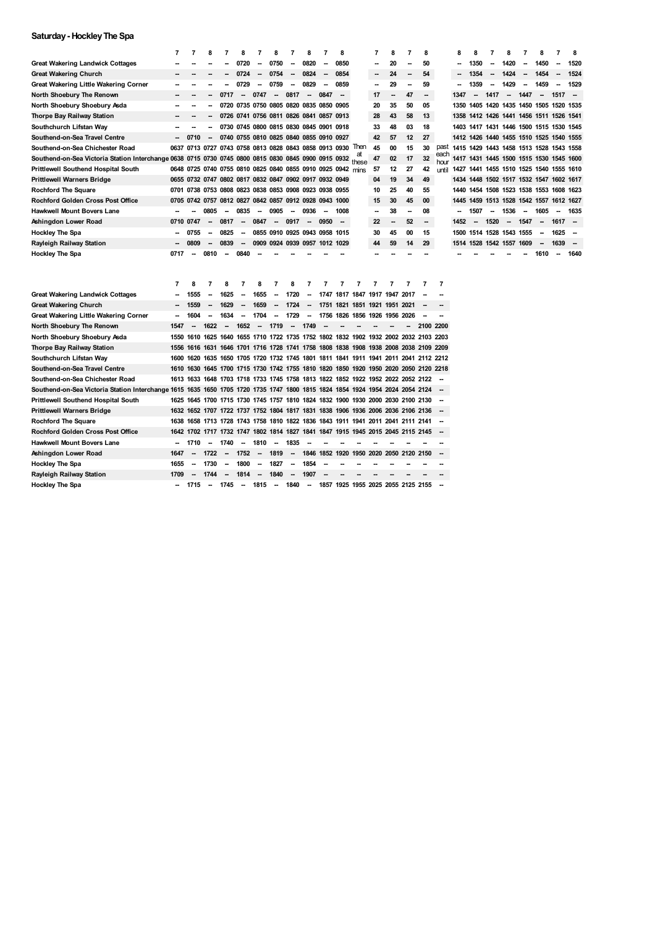### **Saturday- HockleyThe Spa**

|                                                                                                           | 7    | 7                        | Я                        | 7                                                      | 8                        | 7                        | 8                                       |                          | 8                        | 7                        | 8                                                           |                                                                                      | 7    | 8         | 7  | 8         |                          | 8                                       | 8                        | 7                        | 8                        | 7                        | 8                                       | 7                        | 8                        |
|-----------------------------------------------------------------------------------------------------------|------|--------------------------|--------------------------|--------------------------------------------------------|--------------------------|--------------------------|-----------------------------------------|--------------------------|--------------------------|--------------------------|-------------------------------------------------------------|--------------------------------------------------------------------------------------|------|-----------|----|-----------|--------------------------|-----------------------------------------|--------------------------|--------------------------|--------------------------|--------------------------|-----------------------------------------|--------------------------|--------------------------|
| <b>Great Wakering Landwick Cottages</b>                                                                   |      |                          |                          |                                                        | 0720                     |                          | 0750                                    | --                       | 0820                     |                          | 0850                                                        |                                                                                      |      | 20        |    | 50        |                          |                                         | 1350                     |                          | 1420                     |                          | 1450                                    | -                        | 1520                     |
| <b>Great Wakering Church</b>                                                                              |      |                          |                          |                                                        | 0724                     | $\overline{\phantom{a}}$ | 0754                                    | $\overline{\phantom{a}}$ | 0824                     | $\overline{\phantom{a}}$ | 0854                                                        |                                                                                      |      | 24        | -- | 54        |                          |                                         | 1354                     | $\overline{\phantom{a}}$ | 1424                     | $\overline{\phantom{a}}$ | 1454                                    | $\overline{\phantom{a}}$ | 1524                     |
| Great Wakering Little Wakering Corner                                                                     |      |                          |                          |                                                        | 0729                     |                          | 0759                                    | --                       | 0829                     | -                        | 0859                                                        |                                                                                      | -    | 29        | -  | 59        |                          |                                         | 1359                     |                          | 1429                     |                          | 1459                                    | $\overline{\phantom{a}}$ | 1529                     |
| North Shoebury The Renown                                                                                 |      |                          |                          | 0717                                                   | $\overline{\phantom{a}}$ | 0747                     | $\overline{\phantom{a}}$                | 0817                     | $\overline{\phantom{a}}$ | 0847                     | <b>.</b>                                                    |                                                                                      | 17   |           | 47 | -         |                          | 1347                                    | $\overline{\phantom{a}}$ | 1417                     | $\overline{\phantom{a}}$ | 1447                     | $\overline{\phantom{a}}$                | 1517                     |                          |
| North Shoebury Shoebury Asda                                                                              |      |                          |                          |                                                        |                          |                          | 0720 0735 0750 0805 0820 0835 0850 0905 |                          |                          |                          |                                                             |                                                                                      | 20   | 35        | 50 | 05        |                          | 1350 1405 1420 1435 1450 1505 1520 1535 |                          |                          |                          |                          |                                         |                          |                          |
| Thorpe Bay Railway Station                                                                                |      |                          |                          |                                                        |                          |                          | 0726 0741 0756 0811 0826 0841 0857 0913 |                          |                          |                          |                                                             |                                                                                      | 28   | 43        | 58 | 13        |                          | 1358 1412 1426 1441 1456 1511 1526 1541 |                          |                          |                          |                          |                                         |                          |                          |
| Southchurch Lifstan Way                                                                                   |      | --                       | --                       |                                                        |                          |                          | 0730 0745 0800 0815 0830 0845 0901 0918 |                          |                          |                          |                                                             |                                                                                      | 33   | 48        | 03 | 18        |                          | 1403                                    |                          |                          |                          |                          | 1417 1431 1446 1500 1515 1530 1545      |                          |                          |
| Southend-on-Sea Travel Centre                                                                             | --   | 0710                     | $\overline{\phantom{a}}$ |                                                        |                          |                          | 0740 0755 0810 0825 0840 0855 0910 0927 |                          |                          |                          |                                                             |                                                                                      | 42   | 57        | 12 | 27        |                          | 1412 1426 1440 1455 1510 1525 1540 1555 |                          |                          |                          |                          |                                         |                          |                          |
| Southend-on-Sea Chichester Road                                                                           |      |                          |                          |                                                        |                          |                          |                                         |                          |                          |                          | 0637 0713 0727 0743 0758 0813 0828 0843 0858 0913 0930 lhen |                                                                                      | 45   | 00        | 15 | 30        | past                     | 1415 1429 1443 1458 1513 1528 1543 1558 |                          |                          |                          |                          |                                         |                          |                          |
| Southend-on-Sea Victoria Station Interchange 0638 0715 0730 0745 0800 0815 0830 0845 0900 0915 0932 these |      |                          |                          |                                                        |                          |                          |                                         |                          |                          |                          |                                                             |                                                                                      | 47   | 02        | 17 | 32        | each<br>hour             |                                         |                          |                          |                          |                          | 1417 1431 1445 1500 1515 1530 1545 1600 |                          |                          |
| <b>Prittlewell Southend Hospital South</b>                                                                |      |                          |                          |                                                        |                          |                          |                                         |                          |                          |                          | 0648 0725 0740 0755 0810 0825 0840 0855 0910 0925 0942 mins |                                                                                      | 57   | 12        | 27 | 42        | until                    | 1427 1441 1455 1510 1525 1540 1555 1610 |                          |                          |                          |                          |                                         |                          |                          |
| <b>Prittlewell Warners Bridge</b>                                                                         |      |                          |                          | 0655 0732 0747 0802 0817 0832 0847 0902 0917 0932 0949 |                          |                          |                                         |                          |                          |                          |                                                             |                                                                                      | 04   | 19        | 34 | 49        |                          | 1434 1448 1502 1517 1532 1547 1602 1617 |                          |                          |                          |                          |                                         |                          |                          |
| <b>Rochford The Square</b>                                                                                | 0701 |                          |                          | 0738 0753 0808 0823 0838 0853 0908 0923 0938 0955      |                          |                          |                                         |                          |                          |                          |                                                             |                                                                                      | 10   | 25        | 40 | 55        |                          | 1440 1454 1508 1523 1538 1553 1608 1623 |                          |                          |                          |                          |                                         |                          |                          |
| <b>Rochford Golden Cross Post Office</b>                                                                  |      |                          |                          | 0705 0742 0757 0812 0827 0842 0857 0912 0928 0943 1000 |                          |                          |                                         |                          |                          |                          |                                                             |                                                                                      | 15   | 30        | 45 | 00        |                          | 1445 1459 1513 1528 1542 1557 1612 1627 |                          |                          |                          |                          |                                         |                          |                          |
| <b>Hawkwell Mount Bovers Lane</b>                                                                         |      |                          | 0805                     |                                                        | 0835                     | $\overline{\phantom{a}}$ | 0905                                    | $\overline{\phantom{a}}$ | 0936                     | $\overline{\phantom{a}}$ | 1008                                                        |                                                                                      | --   | 38        |    | 08        |                          |                                         | 1507                     |                          | 1536                     | $\overline{\phantom{a}}$ | 1605                                    |                          | 1635                     |
| Ashingdon Lower Road                                                                                      | 0710 | 0747                     | $\overline{\phantom{a}}$ | 0817                                                   | $\overline{\phantom{a}}$ | 0847                     | $\overline{\phantom{a}}$                | 0917                     |                          | 0950                     | --                                                          |                                                                                      | 22   |           | 52 | -         |                          | 1452                                    | $\overline{\phantom{a}}$ | 1520                     | $\overline{\phantom{a}}$ | 1547                     | $\overline{\phantom{a}}$                | 1617                     |                          |
| <b>Hockley The Spa</b>                                                                                    |      | 0755                     |                          | 0825                                                   |                          |                          | 0855 0910 0925 0943 0958 1015           |                          |                          |                          |                                                             |                                                                                      | 30   | 45        | 00 | 15        |                          | 1500                                    |                          | 1514 1528 1543 1555      |                          |                          | $\overline{\phantom{a}}$                | 1625                     |                          |
| Rayleigh Railway Station                                                                                  |      | 0809                     |                          | 0839                                                   | $\overline{\phantom{a}}$ |                          | 0909 0924 0939 0957 1012 1029           |                          |                          |                          |                                                             |                                                                                      | 44   | 59        | 14 | 29        |                          | 1514 1528 1542 1557 1609                |                          |                          |                          |                          | $\overline{\phantom{a}}$                | 1639                     | $\overline{\phantom{a}}$ |
| <b>Hockley The Spa</b>                                                                                    | 0717 | --                       | 0810                     | --                                                     | 0840                     |                          |                                         |                          |                          |                          |                                                             |                                                                                      |      |           |    |           |                          |                                         |                          |                          |                          |                          | 1610                                    | $\overline{\phantom{a}}$ | 1640                     |
|                                                                                                           |      |                          |                          |                                                        |                          |                          |                                         |                          |                          |                          |                                                             |                                                                                      |      |           |    |           |                          |                                         |                          |                          |                          |                          |                                         |                          |                          |
|                                                                                                           |      |                          |                          |                                                        |                          |                          |                                         |                          |                          |                          |                                                             |                                                                                      |      |           |    |           |                          |                                         |                          |                          |                          |                          |                                         |                          |                          |
|                                                                                                           |      |                          |                          |                                                        |                          |                          |                                         |                          |                          |                          |                                                             |                                                                                      |      |           |    |           |                          |                                         |                          |                          |                          |                          |                                         |                          |                          |
|                                                                                                           | 7    | 8                        | 7                        | 8                                                      | 7                        | 8                        | 7                                       |                          | 7                        |                          | 7                                                           | 7                                                                                    | 7    |           |    | 7         | $\overline{7}$           |                                         |                          |                          |                          |                          |                                         |                          |                          |
| <b>Great Wakering Landwick Cottages</b>                                                                   |      | 1555                     |                          | 1625                                                   | --                       | 1655                     | --                                      | 1720                     | -                        |                          |                                                             | 1747 1817 1847 1917 1947 2017                                                        |      |           |    |           |                          |                                         |                          |                          |                          |                          |                                         |                          |                          |
| <b>Great Wakering Church</b>                                                                              |      | 1559                     | $\overline{\phantom{a}}$ | 1629                                                   | $\overline{\phantom{a}}$ | 1659                     | $\overline{\phantom{a}}$                | 1724                     | $\overline{\phantom{a}}$ | 1751                     | 1821                                                        | 1851 1921 1951 2021                                                                  |      |           |    |           |                          |                                         |                          |                          |                          |                          |                                         |                          |                          |
| Great Wakering Little Wakering Corner                                                                     |      | 1604                     |                          | 1634                                                   | $\overline{\phantom{a}}$ | 1704                     | --                                      | 1729                     | -                        | 1756 1826                |                                                             | 1856                                                                                 | 1926 | 1956 2026 |    |           |                          |                                         |                          |                          |                          |                          |                                         |                          |                          |
| North Shoebury The Renown                                                                                 | 1547 | $\overline{\phantom{a}}$ | 1622                     | $\overline{\phantom{a}}$                               | 1652                     | $\overline{\phantom{a}}$ | 1719                                    | $\overline{\phantom{a}}$ | 1749                     |                          |                                                             |                                                                                      |      |           |    | 2100 2200 |                          |                                         |                          |                          |                          |                          |                                         |                          |                          |
| North Shoebury Shoebury Asda                                                                              |      | 1550 1610                |                          |                                                        |                          |                          |                                         |                          |                          |                          |                                                             | 1625 1640 1655 1710 1722 1735 1752 1802 1832 1902 1932 2002 2032 2103 2203           |      |           |    |           |                          |                                         |                          |                          |                          |                          |                                         |                          |                          |
| Thorpe Bay Railway Station                                                                                | 1556 | 1616                     |                          |                                                        |                          |                          |                                         |                          |                          |                          |                                                             | 1631 1646 1701 1716 1728 1741 1758 1808 1838 1908 1938 2008 2038 2109 2209           |      |           |    |           |                          |                                         |                          |                          |                          |                          |                                         |                          |                          |
| Southchurch Lifstan Way                                                                                   | 1600 | 1620                     |                          |                                                        |                          |                          |                                         |                          |                          |                          |                                                             | 1635 1650 1705 1720 1732 1745 1801 1811 1841 1911 1941 2011 2041 2112 2212           |      |           |    |           |                          |                                         |                          |                          |                          |                          |                                         |                          |                          |
| Southend-on-Sea Travel Centre                                                                             |      |                          |                          |                                                        |                          |                          |                                         |                          |                          |                          |                                                             | 1610 1630 1645 1700 1715 1730 1742 1755 1810 1820 1850 1920 1950 2020 2050 2120 2218 |      |           |    |           |                          |                                         |                          |                          |                          |                          |                                         |                          |                          |
| Southend-on-Sea Chichester Road                                                                           |      |                          |                          |                                                        |                          |                          |                                         |                          |                          |                          |                                                             | 1613 1633 1648 1703 1718 1733 1745 1758 1813 1822 1852 1922 1952 2022 2052 2122      |      |           |    |           |                          |                                         |                          |                          |                          |                          |                                         |                          |                          |
| Southend-on-Sea Victoria Station Interchange 1615                                                         |      |                          |                          |                                                        |                          |                          |                                         |                          |                          |                          |                                                             | 1635 1650 1705 1720 1735 1747 1800 1815 1824 1854 1924 1954 2024 2054 2124           |      |           |    |           | $\overline{\phantom{a}}$ |                                         |                          |                          |                          |                          |                                         |                          |                          |
| <b>Prittlewell Southend Hospital South</b>                                                                | 1625 | 1645                     |                          |                                                        |                          |                          |                                         |                          |                          |                          |                                                             | 1700 1715 1730 1745 1757 1810 1824 1832 1900 1930 2000 2030 2100 2130                |      |           |    |           |                          |                                         |                          |                          |                          |                          |                                         |                          |                          |
| <b>Prittlewell Warners Bridge</b>                                                                         |      |                          |                          |                                                        |                          |                          |                                         |                          |                          |                          |                                                             | 1632 1652 1707 1722 1737 1752 1804 1817 1831 1838 1906 1936 2006 2036 2106 2136      |      |           |    |           | $\overline{\phantom{a}}$ |                                         |                          |                          |                          |                          |                                         |                          |                          |
| <b>Rochford The Square</b>                                                                                |      |                          |                          |                                                        |                          |                          |                                         |                          |                          |                          |                                                             | 1638 1658 1713 1728 1743 1758 1810 1822 1836 1843 1911 1941 2011 2041 2111 2141      |      |           |    |           |                          |                                         |                          |                          |                          |                          |                                         |                          |                          |
| <b>Rochford Golden Cross Post Office</b>                                                                  |      | 1642 1702                |                          |                                                        |                          |                          |                                         |                          |                          |                          |                                                             | 1717 1732 1747 1802 1814 1827 1841 1847 1915 1945 2015 2045 2115 2145                |      |           |    |           |                          |                                         |                          |                          |                          |                          |                                         |                          |                          |
| <b>Hawkwell Mount Bovers Lane</b>                                                                         | -    | 1710                     | $\overline{\phantom{a}}$ | 1740                                                   | $\overline{\phantom{a}}$ | 1810                     | $\overline{\phantom{a}}$                | 1835                     | -                        |                          |                                                             |                                                                                      |      |           |    |           |                          |                                         |                          |                          |                          |                          |                                         |                          |                          |
| Ashingdon Lower Road                                                                                      | 1647 | $\overline{\phantom{a}}$ | 1722                     | $\overline{\phantom{a}}$                               | 1752                     | $\overline{\phantom{a}}$ | 1819                                    | $\overline{\phantom{a}}$ | 1846 1852 1920           |                          |                                                             | 1950 2020 2050 2120 2150                                                             |      |           |    |           | $\overline{\phantom{a}}$ |                                         |                          |                          |                          |                          |                                         |                          |                          |
| <b>Hockley The Spa</b>                                                                                    | 1655 | --                       | 1730                     | -                                                      | 1800                     | $\overline{\phantom{a}}$ | 1827                                    | --                       | 1854                     |                          |                                                             |                                                                                      |      |           |    |           |                          |                                         |                          |                          |                          |                          |                                         |                          |                          |
| Rayleigh Railway Station                                                                                  | 1709 | --                       | 1744                     | --                                                     | 1814                     | $\overline{\phantom{a}}$ | 1840                                    | --                       | 1907                     |                          |                                                             |                                                                                      |      |           |    |           |                          |                                         |                          |                          |                          |                          |                                         |                          |                          |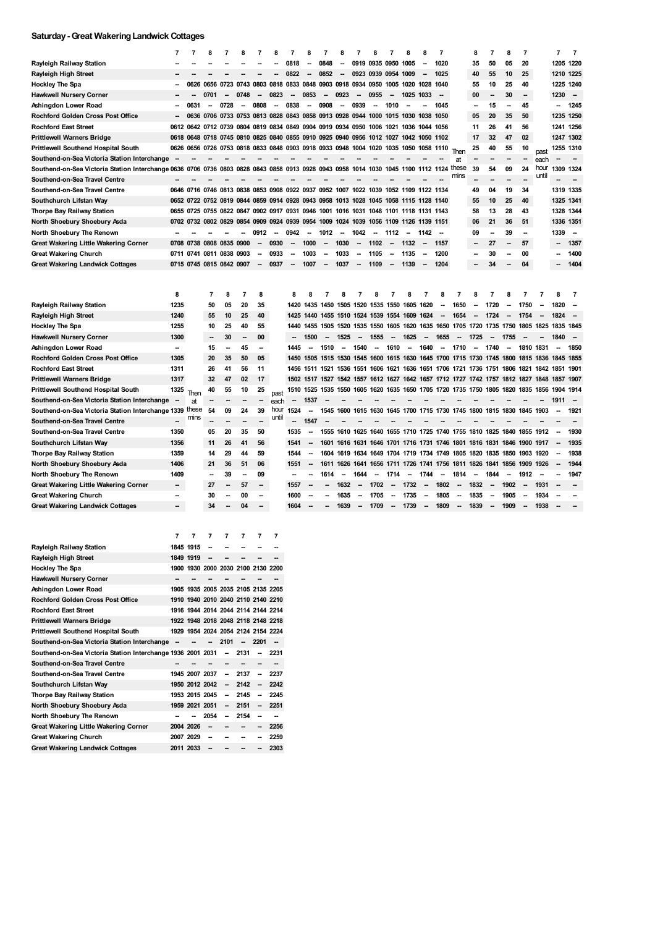### **Saturday-Great WakeringLandwick Cottages**

|                                                   | 7                        | 7         | Я                                                                                    |                | я                        |                          | я                        |                          | 8                                                                          |                          | 8                        |                          | 8                                       |                          | 8                        | 8                        | 7                        |                                                                                 | 8                        | 7                        | 8                        | 7                        |       | 7                        | $\overline{7}$           |
|---------------------------------------------------|--------------------------|-----------|--------------------------------------------------------------------------------------|----------------|--------------------------|--------------------------|--------------------------|--------------------------|----------------------------------------------------------------------------|--------------------------|--------------------------|--------------------------|-----------------------------------------|--------------------------|--------------------------|--------------------------|--------------------------|---------------------------------------------------------------------------------|--------------------------|--------------------------|--------------------------|--------------------------|-------|--------------------------|--------------------------|
| Rayleigh Railway Station                          |                          |           |                                                                                      |                |                          |                          |                          | 0818                     |                                                                            | 0848                     | -                        |                          | 0919 0935 0950                          |                          | 1005                     | -                        | 1020                     |                                                                                 | 35                       | 50                       | 05                       | 20                       |       | 1205 1220                |                          |
| Rayleigh High Street                              |                          |           |                                                                                      |                |                          |                          |                          | 0822                     |                                                                            | 0852                     | --                       |                          | 0923 0939 0954                          |                          | 1009                     | --                       | 1025                     |                                                                                 | 40                       | 55                       | 10                       | 25                       |       | 1210 1225                |                          |
| <b>Hockley The Spa</b>                            |                          | 0626      | 0656                                                                                 | 0723 0743      |                          | 0803 0818                |                          | 0833 0848                |                                                                            | 0903 0918                |                          | 0934 0950                |                                         | 1005                     | 1020                     | 1028                     | 1040                     |                                                                                 | 55                       | 10                       | 25                       | 40                       |       | 1225 1240                |                          |
| <b>Hawkwell Nursery Corner</b>                    |                          |           | 0701                                                                                 |                | 0748                     | $\overline{\phantom{a}}$ | 0823                     | $\overline{\phantom{a}}$ | 0853                                                                       | $\overline{\phantom{a}}$ | 0923                     | -                        | 0955                                    | -                        | 1025                     | 1033                     |                          |                                                                                 | 00                       | $\overline{\phantom{a}}$ | 30                       | -                        |       | 1230                     | $\overline{\phantom{a}}$ |
| Ashingdon Lower Road                              |                          | 0631      | $\overline{\phantom{a}}$                                                             | 0728           |                          | 0808                     | $\overline{\phantom{a}}$ | 0838                     | $\overline{\phantom{a}}$                                                   | 0908                     | $\overline{\phantom{a}}$ | 0939                     | $\overline{\phantom{a}}$                | 1010                     |                          |                          | 1045                     |                                                                                 | $\overline{\phantom{a}}$ | 15                       | -                        | 45                       |       | $\overline{\phantom{a}}$ | 1245                     |
| Rochford Golden Cross Post Office                 |                          | 0636      |                                                                                      |                |                          |                          |                          |                          | 0706 0733 0753 0813 0828 0843 0858 0913 0928                               |                          |                          | 0944 1000                |                                         | 1015                     | 1030                     | 1038                     | 1050                     |                                                                                 | 05                       | 20                       | 35                       | 50                       |       | 1235 1250                |                          |
| <b>Rochford East Street</b>                       | 0612                     | 0642      |                                                                                      |                |                          |                          |                          |                          | 0712 0739 0804 0819 0834 0849 0904 0919 0934 0950 1006                     |                          |                          |                          |                                         | 1021                     | 1036                     | 1044 1056                |                          |                                                                                 | 11                       | 26                       | 41                       | 56                       |       | 1241 1256                |                          |
| <b>Prittlewell Warners Bridge</b>                 | 0618                     | 0648      |                                                                                      |                |                          |                          |                          |                          | 0718 0745 0810 0825 0840 0855 0910 0925 0940 0956 1012 1027 1042 1050 1102 |                          |                          |                          |                                         |                          |                          |                          |                          |                                                                                 | 17                       | 32                       | 47                       | 02                       |       | 1247 1302                |                          |
| Prittlewell Southend Hospital South               | 0626                     |           | 0656 0726 0753 0818 0833 0848 0903 0918 0933 0948 1004 1020 1035 1050 1058 1110      |                |                          |                          |                          |                          |                                                                            |                          |                          |                          |                                         |                          |                          |                          |                          | Then                                                                            | 25                       | 40                       | 55                       | 10                       | past  | 1255 1310                |                          |
| Southend-on-Sea Victoria Station Interchange      |                          |           |                                                                                      |                |                          |                          |                          |                          |                                                                            |                          |                          |                          |                                         |                          |                          |                          |                          | at                                                                              |                          |                          |                          |                          | each  |                          |                          |
| Southend-on-Sea Victoria Station Interchange 0636 |                          | 0706      |                                                                                      |                | 0736 0803 0828 0843 0858 |                          |                          |                          | 0913 0928 0943 0958                                                        |                          |                          | 1014 1030                |                                         | 1045 1100                |                          | 1112                     | 1124                     | these                                                                           | 39                       | 54                       | 09                       | 24                       | hour  | 1309                     | 1324                     |
| Southend-on-Sea Travel Centre                     |                          |           |                                                                                      |                |                          |                          |                          |                          |                                                                            |                          |                          |                          |                                         |                          |                          |                          |                          |                                                                                 |                          |                          |                          |                          | until |                          |                          |
| Southend-on-Sea Travel Centre                     |                          |           | 0646 0716 0746 0813 0838 0853 0908 0922 0937                                         |                |                          |                          |                          |                          |                                                                            | 0952 1007                |                          | 1022 1039                |                                         | 1052 1109                |                          | 1122 1134                |                          |                                                                                 | 49                       | 04                       | 19                       | 34                       |       | 1319 1335                |                          |
| Southchurch Lifstan Way                           | 0652                     | 0722      | 0752                                                                                 |                |                          |                          |                          |                          | 0819 0844 0859 0914 0928 0943 0958 1013 1028 1045                          |                          |                          |                          |                                         | 1058                     | 1115                     | 1128                     | 1140                     |                                                                                 | 55                       | 10                       | 25                       | 40                       |       | 1325 1341                |                          |
| Thorpe Bay Railway Station                        | 0655                     | 0725      | 0755                                                                                 |                |                          |                          |                          |                          | 0822 0847 0902 0917 0931 0946 1001 1016 1031 1048 1101 1118 1131 1143      |                          |                          |                          |                                         |                          |                          |                          |                          |                                                                                 | 58                       | 13                       | 28                       | 43                       |       | 1328 1344                |                          |
| North Shoebury Shoebury Asda                      |                          |           | 0702 0732 0802 0829 0854 0909 0924 0939 0954 1009 1024 1039 1056 1109 1126 1139 1151 |                |                          |                          |                          |                          |                                                                            |                          |                          |                          |                                         |                          |                          |                          |                          |                                                                                 | 06                       | 21                       | 36                       | 51                       |       | 1336 1351                |                          |
| <b>North Shoebury The Renown</b>                  |                          |           |                                                                                      |                |                          | 0912                     | $\overline{\phantom{a}}$ | 0942                     | $\sim$                                                                     | 1012                     | $\overline{\phantom{a}}$ | 1042                     | $\sim$                                  | 1112                     | $\overline{\phantom{a}}$ | 1142                     |                          |                                                                                 | 09                       | $\overline{\phantom{a}}$ | 39                       | -                        |       | 1339                     | $\overline{\phantom{a}}$ |
| Great Wakering Little Wakering Corner             | 0708                     | 0738      |                                                                                      | 0808 0835 0900 |                          | $\overline{\phantom{a}}$ | 0930                     | $\overline{\phantom{a}}$ | 1000                                                                       | $\overline{\phantom{a}}$ | 1030                     | $\overline{\phantom{a}}$ | 1102                                    | $\overline{\phantom{a}}$ | 1132                     | $\overline{\phantom{a}}$ | 1157                     |                                                                                 |                          | 27                       |                          | 57                       |       |                          | 1357                     |
| <b>Great Wakering Church</b>                      |                          | 0711 0741 | 0811                                                                                 | 0838 0903      |                          | $\overline{\phantom{a}}$ | 0933                     | $\overline{\phantom{a}}$ | 1003                                                                       | $\overline{\phantom{a}}$ | 1033                     | -                        | 1105                                    | $\overline{\phantom{a}}$ | 1135                     |                          | 1200                     |                                                                                 | -                        | 30                       |                          | 00                       |       | -                        | 1400                     |
| <b>Great Wakering Landwick Cottages</b>           |                          |           | 0715 0745 0815 0842 0907                                                             |                |                          | $\overline{\phantom{a}}$ | 0937                     | $\overline{\phantom{a}}$ | 1007                                                                       | $\sim$                   | 1037                     | $\sim$                   | 1109                                    | $\sim$                   | 1139                     | $\overline{\phantom{a}}$ | 1204                     |                                                                                 |                          | 34                       |                          | 04                       |       |                          | 1404                     |
|                                                   |                          |           |                                                                                      |                |                          |                          |                          |                          |                                                                            |                          |                          |                          |                                         |                          |                          |                          |                          |                                                                                 |                          |                          |                          |                          |       |                          |                          |
|                                                   |                          |           |                                                                                      |                |                          |                          |                          |                          |                                                                            |                          |                          |                          |                                         |                          |                          |                          |                          |                                                                                 |                          |                          |                          |                          |       |                          |                          |
|                                                   | 8                        |           | $\overline{7}$                                                                       | 8              | 7                        | 8                        |                          | 8                        | 8                                                                          | 7                        | 8                        | 7                        | 8                                       | 7                        | я                        | 7                        | 8                        | 7                                                                               | 8                        | 7                        | я                        |                          |       | 8                        | 7                        |
| Rayleigh Railway Station                          | 1235                     |           | 50                                                                                   | 05             | 20                       | 35                       |                          | 1420                     |                                                                            |                          |                          |                          | 1435 1450 1505 1520 1535 1550 1605 1620 |                          |                          |                          | $\overline{\phantom{a}}$ | 1650                                                                            |                          | 1720                     |                          | 1750                     |       | 1820                     |                          |
| Rayleigh High Street                              | 1240                     |           | 55                                                                                   | 10             | 25                       | 40                       |                          | 1425                     | 1440                                                                       |                          |                          |                          | 1455 1510 1524 1539 1554 1609 1624      |                          |                          |                          | $\overline{\phantom{a}}$ | 1654                                                                            | $\overline{\phantom{a}}$ | 1724                     |                          | 1754                     |       | 1824                     |                          |
| <b>Hockley The Spa</b>                            | 1255                     |           | 10                                                                                   | 25             | 40                       | 55                       |                          | 1440                     |                                                                            |                          |                          |                          | 1455 1505 1520 1535 1550                |                          |                          |                          |                          | 1605 1620 1635 1650 1705 1720 1735 1750                                         |                          |                          |                          | 1805 1825                |       | 1835 1845                |                          |
| <b>Hawkwell Nursery Corner</b>                    | 1300                     |           |                                                                                      | 30             |                          | 00                       |                          |                          | 1500                                                                       | $\overline{\phantom{a}}$ | 1525                     | $\overline{\phantom{a}}$ | 1555                                    | $\overline{\phantom{a}}$ | 1625                     | $\overline{\phantom{a}}$ | 1655                     | $\overline{\phantom{a}}$                                                        | 1725                     |                          | 1755                     |                          |       | 1840                     |                          |
| Ashingdon Lower Road                              | $\overline{\phantom{a}}$ |           | 15                                                                                   | -              | 45                       | -                        |                          | 1445                     | $\overline{\phantom{a}}$                                                   | 1510                     | --                       | 1540                     |                                         | 1610                     | --                       | 1640                     | $\overline{\phantom{a}}$ | 1710                                                                            |                          | 1740                     |                          | 1810 1831                |       |                          | 1850                     |
| Rochford Golden Cross Post Office                 | 1305                     |           | 20                                                                                   | 35             | 50                       | 05                       |                          | 1450                     | 1505                                                                       |                          |                          |                          | 1515 1530 1545 1600                     |                          |                          |                          |                          | 1615 1630 1645 1700 1715 1730 1745 1800                                         |                          |                          |                          | 1815                     | 1836  | 1845                     | 1855                     |
| <b>Rochford East Street</b>                       | 1311                     |           | 26                                                                                   | 41             | 56                       | 11                       |                          | 1456                     | 1511                                                                       |                          |                          |                          |                                         |                          |                          |                          |                          | 1521 1536 1551 1606 1621 1636 1651 1706 1721 1736 1751 1806 1821                |                          |                          |                          |                          | 1842  | 1851                     | 1901                     |
| <b>Prittlewell Warners Bridge</b>                 | 1317                     |           | 32                                                                                   | 47             | 02                       | 17                       |                          | 1502                     | 1517                                                                       |                          |                          |                          |                                         |                          |                          |                          |                          | 1527 1542 1557 1612 1627 1642 1657 1712 1727 1742 1757 1812 1827 1848 1857 1907 |                          |                          |                          |                          |       |                          |                          |
| <b>Prittlewell Southend Hospital South</b>        | 1325                     | Then      | 40                                                                                   | 55             | 10                       | 25                       | past                     | 1510                     | 1525                                                                       | 1535                     |                          | 1550 1605                |                                         |                          |                          |                          |                          | 1620 1635 1650 1705 1720 1735 1750 1805 1820 1835 1856                          |                          |                          |                          |                          |       | 1904 1914                |                          |
| Southend-on-Sea Victoria Station Interchange      |                          | at        |                                                                                      |                |                          |                          | each                     |                          | 1537                                                                       |                          |                          |                          |                                         |                          |                          |                          |                          |                                                                                 |                          |                          |                          |                          |       | 191                      |                          |
| Southend-on-Sea Victoria Station Interchange 1339 |                          | these     | 54                                                                                   | 09             | 24                       | 39                       | hour                     | 1524                     | $\overline{\phantom{a}}$                                                   | 1545                     |                          |                          |                                         |                          |                          |                          |                          | 1600 1615 1630 1645 1700 1715 1730 1745 1800 1815 1830 1845 1903                |                          |                          |                          |                          |       |                          | 1921                     |
| Southend-on-Sea Travel Centre                     |                          | mins      |                                                                                      |                |                          |                          | until                    | $\overline{a}$           | 1547                                                                       |                          |                          |                          |                                         |                          |                          |                          |                          |                                                                                 |                          |                          |                          |                          |       |                          |                          |
| Southend-on-Sea Travel Centre                     | 1350                     |           | 05                                                                                   | 20             | 35                       | 50                       |                          | 1535                     | $\overline{\phantom{a}}$                                                   | 1555                     | 1610                     | 1625                     |                                         |                          |                          |                          |                          | 1640 1655 1710 1725 1740 1755 1810 1825 1840                                    |                          |                          |                          | 1855 1912                |       |                          | 1930                     |
| Southchurch Lifstan Way                           | 1356                     |           | 11                                                                                   | 26             | 41                       | 56                       |                          | 1541                     | $\overline{\phantom{a}}$                                                   | 1601                     |                          |                          |                                         |                          |                          |                          |                          | 1616 1631 1646 1701 1716 1731 1746 1801 1816 1831 1846                          |                          |                          |                          | 1900                     | 1917  |                          | 1935                     |
| Thorpe Bay Railway Station                        | 1359                     |           | 14                                                                                   | 29             | 44                       | 59                       |                          | 1544                     |                                                                            | 1604                     |                          |                          |                                         |                          |                          |                          |                          | 1619 1634 1649 1704 1719 1734 1749 1805 1820 1835 1850 1903                     |                          |                          |                          |                          | 1920  |                          | 1938                     |
| North Shoebury Shoebury Asda                      | 1406                     |           | 21                                                                                   | 36             | 51                       | 06                       |                          | 1551                     | $\overline{\phantom{a}}$                                                   | 1611                     |                          |                          |                                         |                          |                          |                          |                          | 1626 1641 1656 1711 1726 1741 1756 1811 1826 1841 1856 1909                     |                          |                          |                          |                          | 1926  |                          | 1944                     |
| North Shoebury The Renown                         | 1409                     |           | $\overline{\phantom{a}}$                                                             | 39             |                          | 09                       |                          | Ξ.                       |                                                                            | 1614                     | $\overline{\phantom{a}}$ | 1644                     | $\overline{\phantom{a}}$                | 1714                     | $\overline{\phantom{a}}$ | 1744                     | $\overline{\phantom{a}}$ | 1814                                                                            | $\overline{\phantom{a}}$ | 1844                     | $\overline{\phantom{a}}$ | 1912                     |       |                          | 1947                     |
| Great Wakering Little Wakering Corner             | $\overline{\phantom{a}}$ |           | 27                                                                                   |                | 57                       | $\overline{\phantom{a}}$ |                          | 1557                     |                                                                            |                          | 1632                     | --                       | 1702                                    | $\overline{\phantom{a}}$ | 1732                     | $\overline{\phantom{a}}$ | 1802                     | $\overline{\phantom{a}}$                                                        | 1832                     | $\sim$                   | 1902                     |                          | 1931  |                          |                          |
| <b>Great Wakering Church</b>                      | --                       |           | 30                                                                                   |                | 00                       |                          |                          | 1600                     |                                                                            |                          | 1635                     |                          | 1705                                    |                          | 1735                     |                          | 1805                     |                                                                                 | 1835                     |                          | 1905                     |                          | 1934  |                          |                          |
| <b>Great Wakering Landwick Cottages</b>           | $\overline{\phantom{a}}$ |           | 34                                                                                   |                | 04                       |                          |                          | 1604                     | $\overline{\phantom{a}}$                                                   | --                       | 1639                     | $\overline{\phantom{a}}$ | 1709                                    | $\overline{\phantom{a}}$ | 1739                     | $\overline{\phantom{a}}$ | 1809                     | $\overline{\phantom{a}}$                                                        | 1839                     | $\sim$                   | 1909                     | $\overline{\phantom{a}}$ | 1938  |                          |                          |

|                                                             | 7 | 7              | 7                                  | 7                        | 7                        | 7    | 7    |
|-------------------------------------------------------------|---|----------------|------------------------------------|--------------------------|--------------------------|------|------|
| Rayleigh Railway Station                                    |   | 1845 1915      |                                    |                          |                          |      |      |
| Rayleigh High Street                                        |   | 1849 1919      |                                    |                          |                          |      |      |
| Hockley The Spa                                             |   |                | 1900 1930 2000 2030 2100 2130 2200 |                          |                          |      |      |
| <b>Hawkwell Nursery Corner</b>                              |   |                |                                    |                          |                          |      |      |
| Ashingdon Lower Road                                        |   |                | 1905 1935 2005 2035 2105 2135 2205 |                          |                          |      |      |
| Rochford Golden Cross Post Office                           |   |                | 1910 1940 2010 2040 2110 2140 2210 |                          |                          |      |      |
| <b>Rochford East Street</b>                                 |   |                | 1916 1944 2014 2044 2114 2144 2214 |                          |                          |      |      |
| Prittlewell Warners Bridge                                  |   |                | 1922 1948 2018 2048 2118 2148 2218 |                          |                          |      |      |
| Prittlewell Southend Hospital South                         |   |                | 1929 1954 2024 2054 2124 2154 2224 |                          |                          |      |      |
| Southend-on-Sea Victoria Station Interchange                |   |                | --                                 | 2101                     | $\overline{\phantom{a}}$ | 2201 |      |
| Southend-on-Sea Victoria Station Interchange 1936 2001 2031 |   |                |                                    | --                       | 2131                     |      | 2231 |
| Southend-on-Sea Travel Centre                               |   |                |                                    |                          |                          |      |      |
| Southend-on-Sea Travel Centre                               |   | 1945 2007 2037 |                                    | --                       | 2137                     |      | 2237 |
| Southchurch Lifstan Way                                     |   | 1950 2012 2042 |                                    | $\overline{\phantom{a}}$ | 2142                     | --   | 2242 |
| Thorpe Bay Railway Station                                  |   | 1953 2015 2045 |                                    | --                       | 2145                     |      | 2245 |
| North Shoebury Shoebury Asda                                |   | 1959 2021 2051 |                                    | --                       | 2151                     |      | 2251 |
| North Shoebury The Renown                                   |   |                | 2054                               | $\overline{a}$           | 2154                     | --   | --   |
| Great Wakering Little Wakering Corner                       |   | 2004 2026      | --                                 |                          |                          |      | 2256 |
| Great Wakering Church                                       |   | 2007 2029      |                                    |                          |                          |      | 2259 |
| <b>Great Wakering Landwick Cottages</b>                     |   | 2011 2033      | --                                 |                          |                          |      | 2303 |